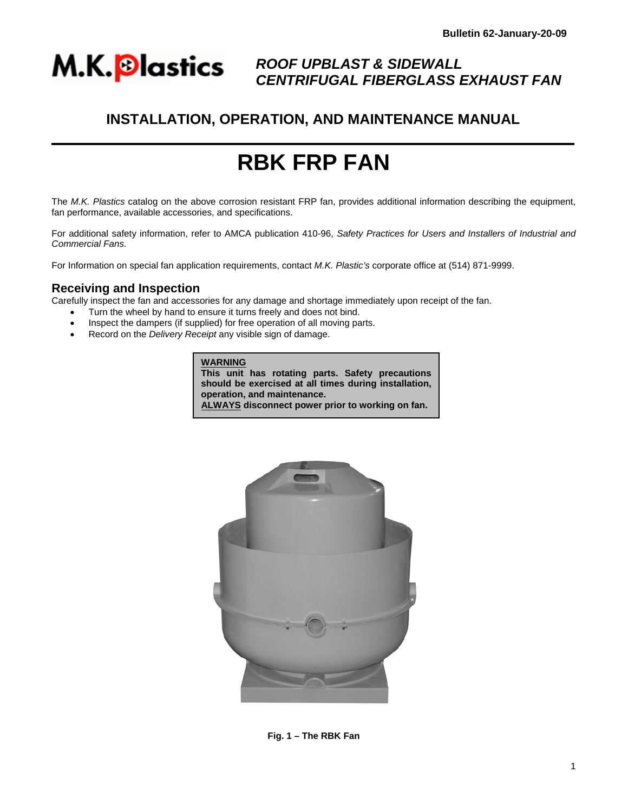

## *ROOF UPBLAST & SIDEWALL CENTRIFUGAL FIBERGLASS EXHAUST FAN*

## **INSTALLATION, OPERATION, AND MAINTENANCE MANUAL**

# **RBK FRP FAN**

The *M.K. Plastics* catalog on the above corrosion resistant FRP fan, provides additional information describing the equipment, fan performance, available accessories, and specifications.

For additional safety information, refer to AMCA publication 410-96, *Safety Practices for Users and Installers of Industrial and Commercial Fans*.

For Information on special fan application requirements, contact *M.K. Plastic's* corporate office at (514) 871-9999.

#### **Receiving and Inspection**

Carefully inspect the fan and accessories for any damage and shortage immediately upon receipt of the fan.

- Turn the wheel by hand to ensure it turns freely and does not bind.
- Inspect the dampers (if supplied) for free operation of all moving parts.
- Record on the *Delivery Receipt* any visible sign of damage.

**WARNING This unit has rotating parts. Safety precautions should be exercised at all times during installation, operation, and maintenance.** 

**ALWAYS disconnect power prior to working on fan.**



**Fig. 1 – The RBK Fan**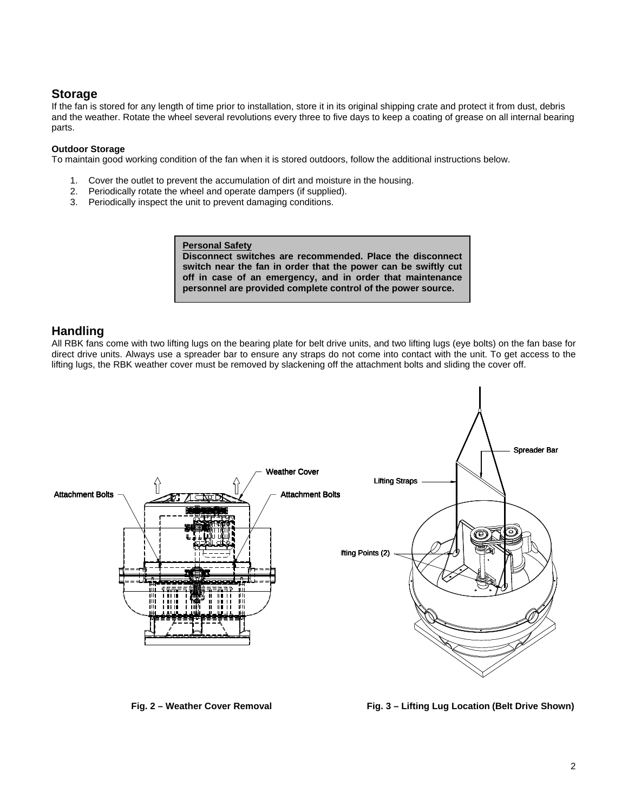## **Storage**

If the fan is stored for any length of time prior to installation, store it in its original shipping crate and protect it from dust, debris and the weather. Rotate the wheel several revolutions every three to five days to keep a coating of grease on all internal bearing parts.

#### **Outdoor Storage**

To maintain good working condition of the fan when it is stored outdoors, follow the additional instructions below.

- 1. Cover the outlet to prevent the accumulation of dirt and moisture in the housing.
- 2. Periodically rotate the wheel and operate dampers (if supplied).
- 3. Periodically inspect the unit to prevent damaging conditions.

**Personal Safety**

**Disconnect switches are recommended. Place the disconnect switch near the fan in order that the power can be swiftly cut off in case of an emergency, and in order that maintenance personnel are provided complete control of the power source.** 

## **Handling**

All RBK fans come with two lifting lugs on the bearing plate for belt drive units, and two lifting lugs (eye bolts) on the fan base for direct drive units. Always use a spreader bar to ensure any straps do not come into contact with the unit. To get access to the lifting lugs, the RBK weather cover must be removed by slackening off the attachment bolts and sliding the cover off.



**Fig. 2 – Weather Cover Removal**  Fig. 3 – Lifting Lug Location (Belt Drive Shown)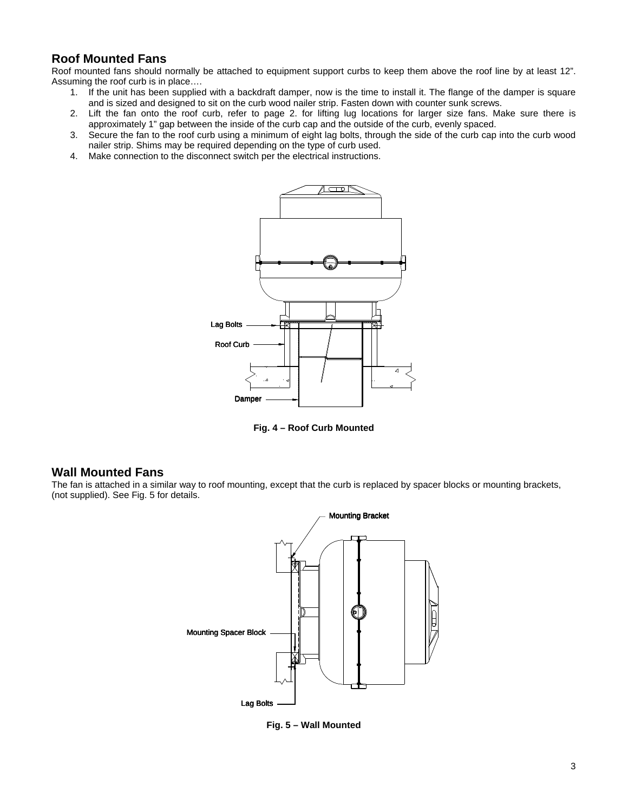## **Roof Mounted Fans**

Roof mounted fans should normally be attached to equipment support curbs to keep them above the roof line by at least 12". Assuming the roof curb is in place….

- 1. If the unit has been supplied with a backdraft damper, now is the time to install it. The flange of the damper is square and is sized and designed to sit on the curb wood nailer strip. Fasten down with counter sunk screws.
- 2. Lift the fan onto the roof curb, refer to page 2. for lifting lug locations for larger size fans. Make sure there is approximately 1" gap between the inside of the curb cap and the outside of the curb, evenly spaced.
- 3. Secure the fan to the roof curb using a minimum of eight lag bolts, through the side of the curb cap into the curb wood nailer strip. Shims may be required depending on the type of curb used.
- 4. Make connection to the disconnect switch per the electrical instructions.



**Fig. 4 – Roof Curb Mounted** 

#### **Wall Mounted Fans**

The fan is attached in a similar way to roof mounting, except that the curb is replaced by spacer blocks or mounting brackets, (not supplied). See Fig. 5 for details.



**Fig. 5 – Wall Mounted**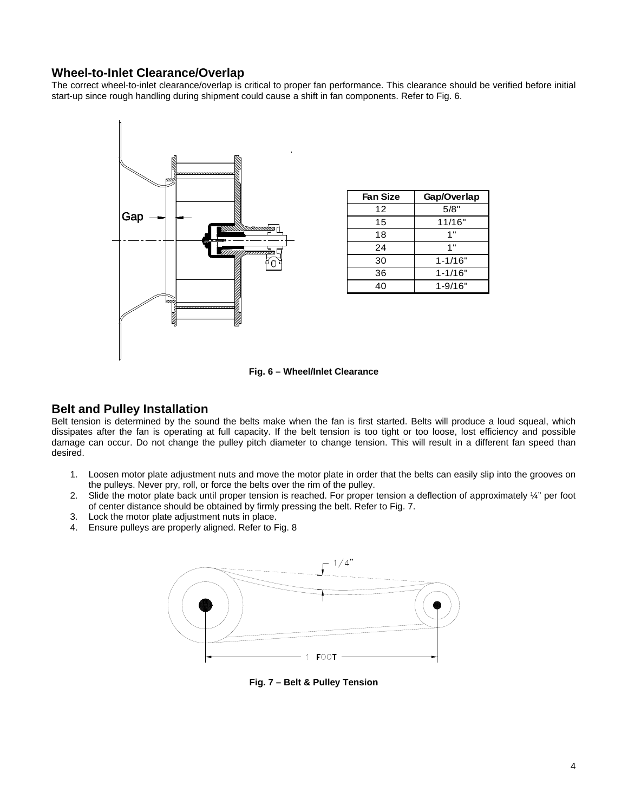## **Wheel-to-Inlet Clearance/Overlap**

The correct wheel-to-inlet clearance/overlap is critical to proper fan performance. This clearance should be verified before initial start-up since rough handling during shipment could cause a shift in fan components. Refer to Fig. 6.



| <b>Fan Size</b> | Gap/Overlap |  |  |
|-----------------|-------------|--|--|
| 12              | 5/8"        |  |  |
| 15              | 11/16"      |  |  |
| 18              | 1"          |  |  |
| 24              | 1"          |  |  |
| 30              | $1 - 1/16"$ |  |  |
| 36              | $1 - 1/16"$ |  |  |
| 40              | $1 - 9/16"$ |  |  |

**Fig. 6 – Wheel/Inlet Clearance** 

## **Belt and Pulley Installation**

Belt tension is determined by the sound the belts make when the fan is first started. Belts will produce a loud squeal, which dissipates after the fan is operating at full capacity. If the belt tension is too tight or too loose, lost efficiency and possible damage can occur. Do not change the pulley pitch diameter to change tension. This will result in a different fan speed than desired.

- 1. Loosen motor plate adjustment nuts and move the motor plate in order that the belts can easily slip into the grooves on the pulleys. Never pry, roll, or force the belts over the rim of the pulley.
- 2. Slide the motor plate back until proper tension is reached. For proper tension a deflection of approximately  $\frac{1}{4}$ " per foot of center distance should be obtained by firmly pressing the belt. Refer to Fig. 7.
- 3. Lock the motor plate adjustment nuts in place.
- 4. Ensure pulleys are properly aligned. Refer to Fig. 8



**Fig. 7 – Belt & Pulley Tension**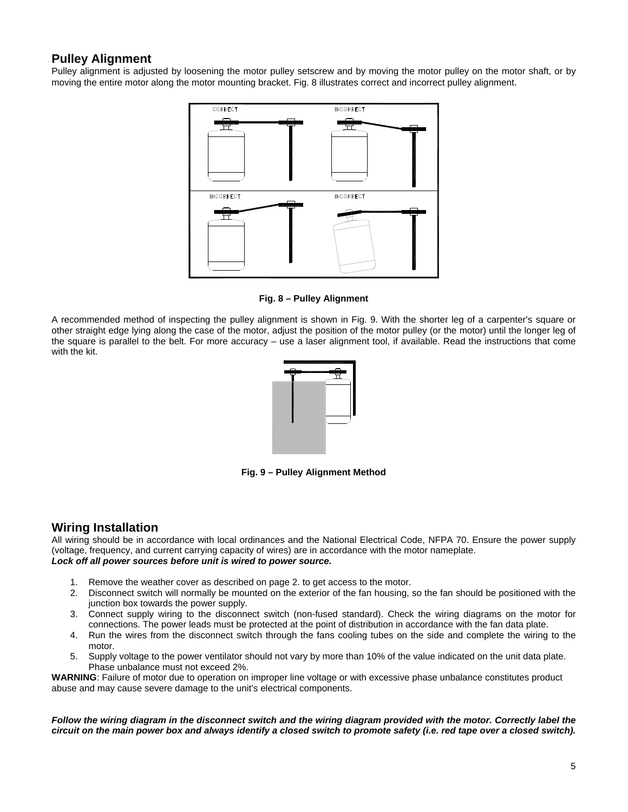## **Pulley Alignment**

Pulley alignment is adjusted by loosening the motor pulley setscrew and by moving the motor pulley on the motor shaft, or by moving the entire motor along the motor mounting bracket. Fig. 8 illustrates correct and incorrect pulley alignment.



**Fig. 8 – Pulley Alignment** 

A recommended method of inspecting the pulley alignment is shown in Fig. 9. With the shorter leg of a carpenter's square or other straight edge lying along the case of the motor, adjust the position of the motor pulley (or the motor) until the longer leg of the square is parallel to the belt. For more accuracy – use a laser alignment tool, if available. Read the instructions that come with the kit.



**Fig. 9 – Pulley Alignment Method** 

## **Wiring Installation**

All wiring should be in accordance with local ordinances and the National Electrical Code, NFPA 70. Ensure the power supply (voltage, frequency, and current carrying capacity of wires) are in accordance with the motor nameplate. *Lock off all power sources before unit is wired to power source.* 

- 1. Remove the weather cover as described on page 2. to get access to the motor.
- 2. Disconnect switch will normally be mounted on the exterior of the fan housing, so the fan should be positioned with the junction box towards the power supply.
- 3. Connect supply wiring to the disconnect switch (non-fused standard). Check the wiring diagrams on the motor for connections. The power leads must be protected at the point of distribution in accordance with the fan data plate.
- 4. Run the wires from the disconnect switch through the fans cooling tubes on the side and complete the wiring to the motor.
- 5. Supply voltage to the power ventilator should not vary by more than 10% of the value indicated on the unit data plate. Phase unbalance must not exceed 2%.

**WARNING**: Failure of motor due to operation on improper line voltage or with excessive phase unbalance constitutes product abuse and may cause severe damage to the unit's electrical components.

*Follow the wiring diagram in the disconnect switch and the wiring diagram provided with the motor. Correctly label the circuit on the main power box and always identify a closed switch to promote safety (i.e. red tape over a closed switch).*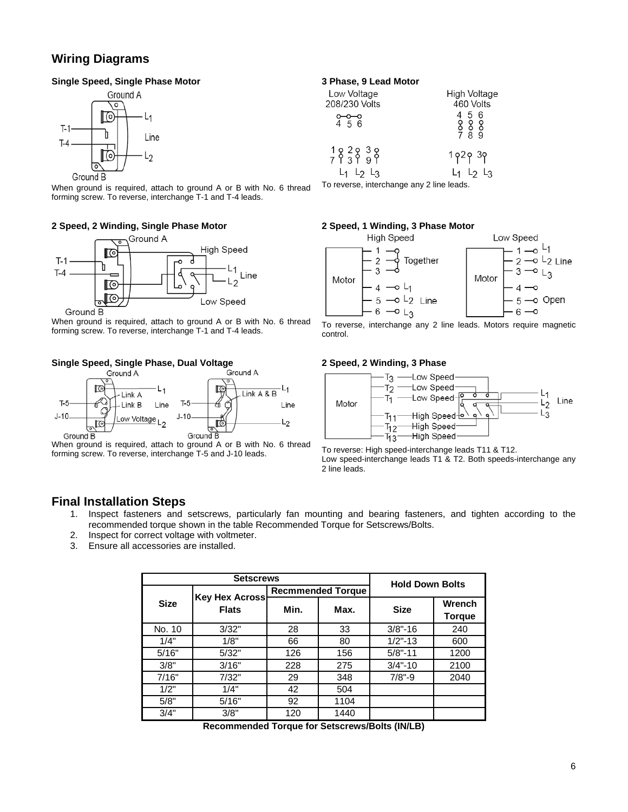## **Wiring Diagrams**

#### **Single Speed, Single Phase Motor**



When ground is required, attach to ground A or B with No. 6 thread forming screw. To reverse, interchange T-1 and T-4 leads.

#### **2 Speed, 2 Winding, Single Phase Motor**



When ground is required, attach to ground A or B with No. 6 thread forming screw. To reverse, interchange T-1 and T-4 leads.

## **Single Speed, Single Phase, Dual Voltage**



When ground is required, attach to ground A or B with No. 6 thread forming screw. To reverse, interchange T-5 and J-10 leads.

#### **3 Phase, 9 Lead Motor**

| Low Voltage                                                                                                   | High Voltage                     |  |
|---------------------------------------------------------------------------------------------------------------|----------------------------------|--|
| 208/230 Volts                                                                                                 | 460 Volts                        |  |
| $0 - 0 - 0$<br>4 5 6                                                                                          | 4 5 6<br>888<br>789              |  |
| $\begin{array}{cccc}\n1 & 2 & 2 & 3 & 8 \\ 7 & 1 & 3 & 1 & 9\n\end{array}$<br>4 L <sub>2</sub> L <sub>3</sub> | 1 p 2 p 3 p<br>$L_1$ $L_2$ $L_3$ |  |
|                                                                                                               |                                  |  |

To reverse, interchange any 2 line leads.

#### **2 Speed, 1 Winding, 3 Phase Motor**



To reverse, interchange any 2 line leads. Motors require magnetic control.

#### **2 Speed, 2 Winding, 3 Phase**



To reverse: High speed-interchange leads T11 & T12. Low speed-interchange leads T1 & T2. Both speeds-interchange any 2 line leads.

## **Final Installation Steps**

- 1. Inspect fasteners and setscrews, particularly fan mounting and bearing fasteners, and tighten according to the recommended torque shown in the table Recommended Torque for Setscrews/Bolts.
- 2. Inspect for correct voltage with voltmeter.
- 3. Ensure all accessories are installed.

| <b>Setscrews</b>                                     |       |                          |      | <b>Hold Down Bolts</b> |               |
|------------------------------------------------------|-------|--------------------------|------|------------------------|---------------|
| <b>Key Hex Across</b><br><b>Size</b><br><b>Flats</b> |       | <b>Recmmended Torque</b> |      |                        |               |
|                                                      |       | Min.                     | Max. | <b>Size</b>            | <b>Wrench</b> |
|                                                      |       |                          |      |                        | <b>Torque</b> |
| No. 10                                               | 3/32" | 28                       | 33   | $3/8 - 16$             | 240           |
| 1/4"                                                 | 1/8"  | 66                       | 80   | $1/2$ "-13             | 600           |
| 5/16"                                                | 5/32" | 126                      | 156  | $5/8 - 11$             | 1200          |
| 3/8"                                                 | 3/16" | 228                      | 275  | $3/4 - 10$             | 2100          |
| 7/16"                                                | 7/32" | 29                       | 348  | $7/8" - 9$             | 2040          |
| 1/2"                                                 | 1/4"  | 42                       | 504  |                        |               |
| 5/8"                                                 | 5/16" | 92                       | 1104 |                        |               |
| 3/4"                                                 | 3/8"  | 120                      | 1440 |                        |               |

**Recommended Torque for Setscrews/Bolts (IN/LB)**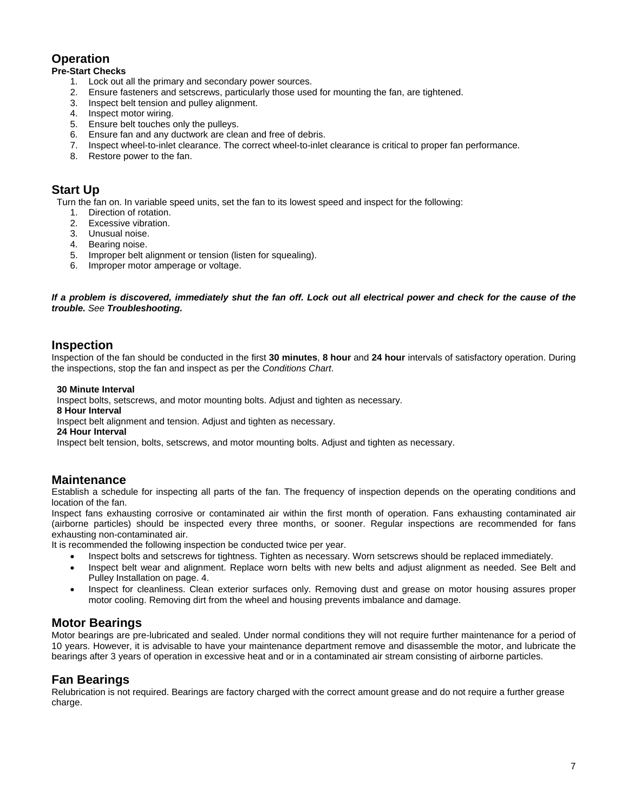## **Operation**

#### **Pre-Start Checks**

- 1. Lock out all the primary and secondary power sources.
- 2. Ensure fasteners and setscrews, particularly those used for mounting the fan, are tightened.
- 3. Inspect belt tension and pulley alignment.
- 4. Inspect motor wiring.
- 5. Ensure belt touches only the pulleys.
- 6. Ensure fan and any ductwork are clean and free of debris.
- 7. Inspect wheel-to-inlet clearance. The correct wheel-to-inlet clearance is critical to proper fan performance.
- 8. Restore power to the fan.

## **Start Up**

Turn the fan on. In variable speed units, set the fan to its lowest speed and inspect for the following:

- 1. Direction of rotation.
- 2. Excessive vibration.
- 3. Unusual noise.
- 4. Bearing noise.
- 5. Improper belt alignment or tension (listen for squealing).
- 6. Improper motor amperage or voltage.

#### *If a problem is discovered, immediately shut the fan off. Lock out all electrical power and check for the cause of the trouble. See Troubleshooting.*

## **Inspection**

Inspection of the fan should be conducted in the first **30 minutes**, **8 hour** and **24 hour** intervals of satisfactory operation. During the inspections, stop the fan and inspect as per the *Conditions Chart*.

#### **30 Minute Interval**

Inspect bolts, setscrews, and motor mounting bolts. Adjust and tighten as necessary.

#### **8 Hour Interval**

Inspect belt alignment and tension. Adjust and tighten as necessary.

#### **24 Hour Interval**

Inspect belt tension, bolts, setscrews, and motor mounting bolts. Adjust and tighten as necessary.

## **Maintenance**

Establish a schedule for inspecting all parts of the fan. The frequency of inspection depends on the operating conditions and location of the fan.

Inspect fans exhausting corrosive or contaminated air within the first month of operation. Fans exhausting contaminated air (airborne particles) should be inspected every three months, or sooner. Regular inspections are recommended for fans exhausting non-contaminated air.

It is recommended the following inspection be conducted twice per year.

- Inspect bolts and setscrews for tightness. Tighten as necessary. Worn setscrews should be replaced immediately.
- Inspect belt wear and alignment. Replace worn belts with new belts and adjust alignment as needed. See Belt and Pulley Installation on page. 4.
- Inspect for cleanliness. Clean exterior surfaces only. Removing dust and grease on motor housing assures proper motor cooling. Removing dirt from the wheel and housing prevents imbalance and damage.

## **Motor Bearings**

Motor bearings are pre-lubricated and sealed. Under normal conditions they will not require further maintenance for a period of 10 years. However, it is advisable to have your maintenance department remove and disassemble the motor, and lubricate the bearings after 3 years of operation in excessive heat and or in a contaminated air stream consisting of airborne particles.

## **Fan Bearings**

Relubrication is not required. Bearings are factory charged with the correct amount grease and do not require a further grease charge.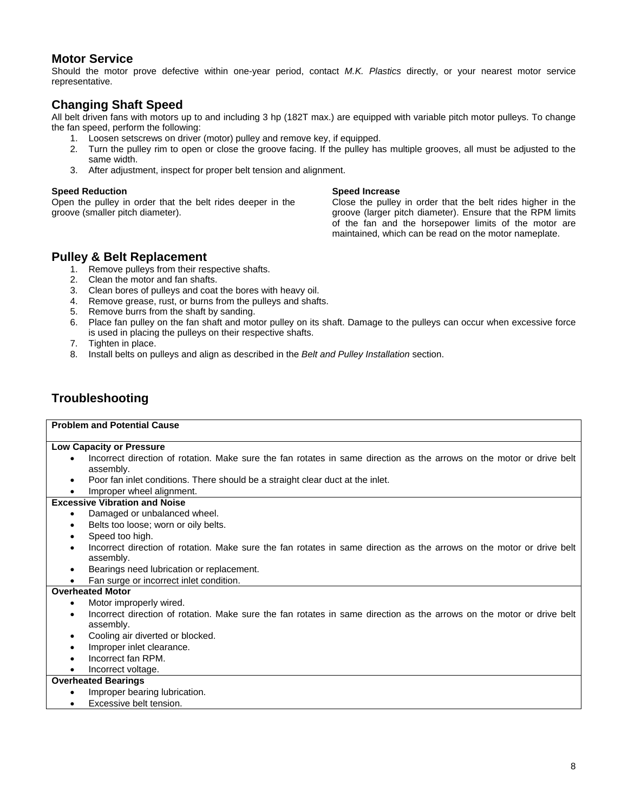## **Motor Service**

Should the motor prove defective within one-year period, contact *M.K. Plastics* directly, or your nearest motor service representative.

## **Changing Shaft Speed**

All belt driven fans with motors up to and including 3 hp (182T max.) are equipped with variable pitch motor pulleys. To change the fan speed, perform the following:

- 1. Loosen setscrews on driver (motor) pulley and remove key, if equipped.
- 2. Turn the pulley rim to open or close the groove facing. If the pulley has multiple grooves, all must be adjusted to the same width.
- 3. After adjustment, inspect for proper belt tension and alignment.

#### **Speed Reduction**

Open the pulley in order that the belt rides deeper in the groove (smaller pitch diameter).

#### **Speed Increase**

Close the pulley in order that the belt rides higher in the groove (larger pitch diameter). Ensure that the RPM limits of the fan and the horsepower limits of the motor are maintained, which can be read on the motor nameplate.

## **Pulley & Belt Replacement**

- 1. Remove pulleys from their respective shafts.
- 2. Clean the motor and fan shafts.
- 3. Clean bores of pulleys and coat the bores with heavy oil.
- 4. Remove grease, rust, or burns from the pulleys and shafts.
- 5. Remove burrs from the shaft by sanding.
- 6. Place fan pulley on the fan shaft and motor pulley on its shaft. Damage to the pulleys can occur when excessive force is used in placing the pulleys on their respective shafts.
- 7. Tighten in place.
- 8. Install belts on pulleys and align as described in the *Belt and Pulley Installation* section.

## **Troubleshooting**

#### **Problem and Potential Cause**

#### **Low Capacity or Pressure**

- Incorrect direction of rotation. Make sure the fan rotates in same direction as the arrows on the motor or drive belt assembly.
- Poor fan inlet conditions. There should be a straight clear duct at the inlet.

## • Improper wheel alignment.

- **Excessive Vibration and Noise** 
	- Damaged or unbalanced wheel.
	- Belts too loose; worn or oily belts.
	- Speed too high.
	- Incorrect direction of rotation. Make sure the fan rotates in same direction as the arrows on the motor or drive belt assembly.
	- Bearings need lubrication or replacement.
	- Fan surge or incorrect inlet condition.

#### **Overheated Motor**

- Motor improperly wired.
- Incorrect direction of rotation. Make sure the fan rotates in same direction as the arrows on the motor or drive belt assembly.
- Cooling air diverted or blocked.
- Improper inlet clearance.
- Incorrect fan RPM.
- Incorrect voltage.

#### **Overheated Bearings**

- Improper bearing lubrication.
- Excessive belt tension.